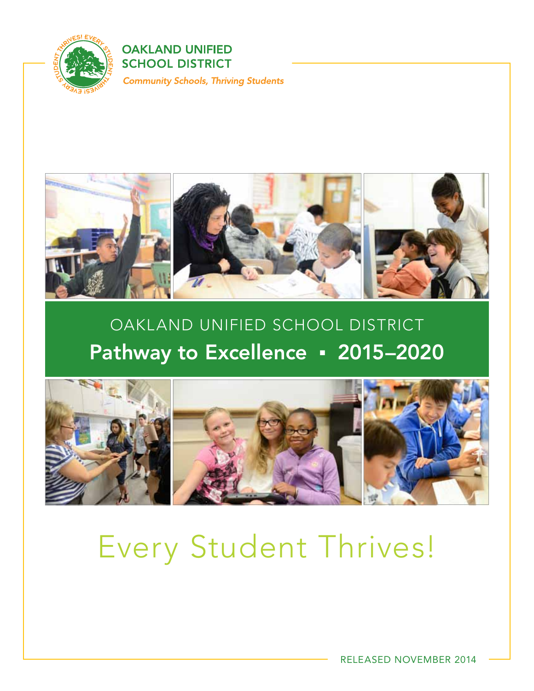

**OAKLAND UNIFIED SCHOOL DISTRICT Community Schools, Thriving Students** 



## OAKLAND UNIFIED SCHOOL DISTRICT Pathway to Excellence · 2015–2020



## Every Student Thrives!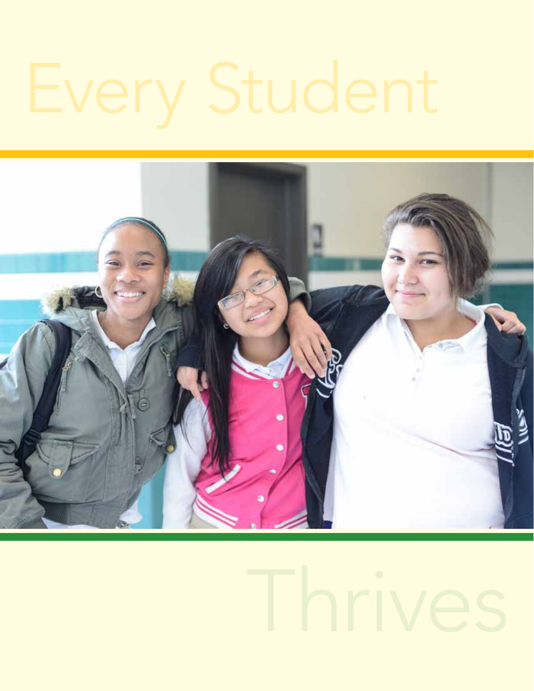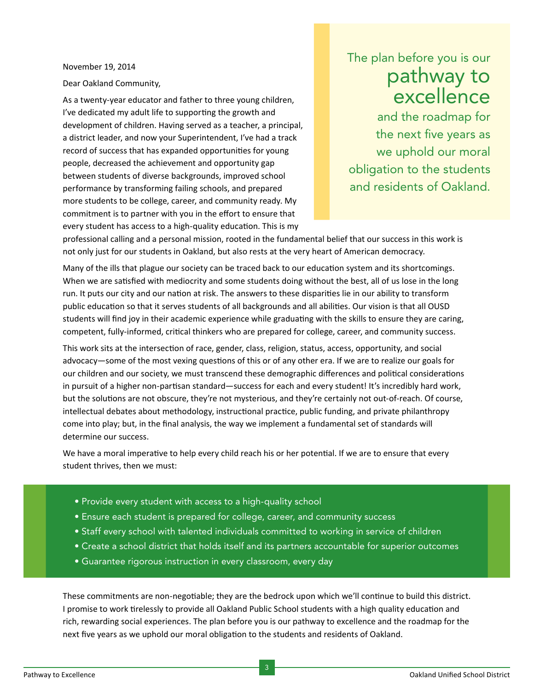November 19, 2014

Dear Oakland Community,

As a twenty-year educator and father to three young children, I've dedicated my adult life to supporting the growth and development of children. Having served as a teacher, a principal, a district leader, and now your Superintendent, I've had a track record of success that has expanded opportunities for young people, decreased the achievement and opportunity gap between students of diverse backgrounds, improved school performance by transforming failing schools, and prepared more students to be college, career, and community ready. My commitment is to partner with you in the effort to ensure that every student has access to a high-quality education. This is my

## The plan before you is our pathway to excellence

and the roadmap for the next five years as we uphold our moral obligation to the students and residents of Oakland.

professional calling and a personal mission, rooted in the fundamental belief that our success in this work is not only just for our students in Oakland, but also rests at the very heart of American democracy.

Many of the ills that plague our society can be traced back to our education system and its shortcomings. When we are satisfied with mediocrity and some students doing without the best, all of us lose in the long run. It puts our city and our nation at risk. The answers to these disparities lie in our ability to transform public education so that it serves students of all backgrounds and all abilities. Our vision is that all OUSD students will find joy in their academic experience while graduating with the skills to ensure they are caring, competent, fully-informed, critical thinkers who are prepared for college, career, and community success.

This work sits at the intersection of race, gender, class, religion, status, access, opportunity, and social advocacy—some of the most vexing questions of this or of any other era. If we are to realize our goals for our children and our society, we must transcend these demographic differences and political considerations in pursuit of a higher non-partisan standard—success for each and every student! It's incredibly hard work, but the solutions are not obscure, they're not mysterious, and they're certainly not out-of-reach. Of course, intellectual debates about methodology, instructional practice, public funding, and private philanthropy come into play; but, in the final analysis, the way we implement a fundamental set of standards will determine our success.

We have a moral imperative to help every child reach his or her potential. If we are to ensure that every student thrives, then we must:

- Provide every student with access to a high-quality school
- Ensure each student is prepared for college, career, and community success
- Staff every school with talented individuals committed to working in service of children
- Create a school district that holds itself and its partners accountable for superior outcomes
- Guarantee rigorous instruction in every classroom, every day

These commitments are non-negotiable; they are the bedrock upon which we'll continue to build this district. I promise to work tirelessly to provide all Oakland Public School students with a high quality education and rich, rewarding social experiences. The plan before you is our pathway to excellence and the roadmap for the next five years as we uphold our moral obligation to the students and residents of Oakland.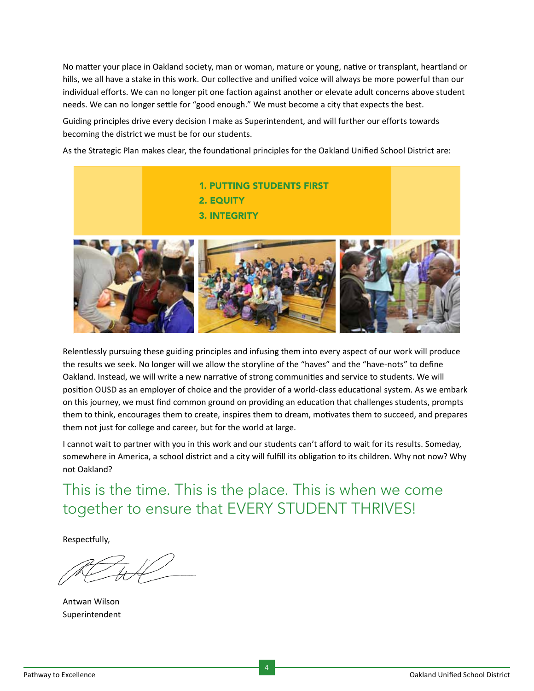No matter your place in Oakland society, man or woman, mature or young, native or transplant, heartland or hills, we all have a stake in this work. Our collective and unified voice will always be more powerful than our individual efforts. We can no longer pit one faction against another or elevate adult concerns above student needs. We can no longer settle for "good enough." We must become a city that expects the best.

Guiding principles drive every decision I make as Superintendent, and will further our efforts towards becoming the district we must be for our students.

As the Strategic Plan makes clear, the foundational principles for the Oakland Unified School District are:



Relentlessly pursuing these guiding principles and infusing them into every aspect of our work will produce the results we seek. No longer will we allow the storyline of the "haves" and the "have-nots" to define Oakland. Instead, we will write a new narrative of strong communities and service to students. We will position OUSD as an employer of choice and the provider of a world-class educational system. As we embark on this journey, we must find common ground on providing an education that challenges students, prompts them to think, encourages them to create, inspires them to dream, motivates them to succeed, and prepares them not just for college and career, but for the world at large.

I cannot wait to partner with you in this work and our students can't afford to wait for its results. Someday, somewhere in America, a school district and a city will fulfill its obligation to its children. Why not now? Why not Oakland?

## This is the time. This is the place. This is when we come together to ensure that EVERY STUDENT THRIVES!

Respectfully,

Antwan Wilson Superintendent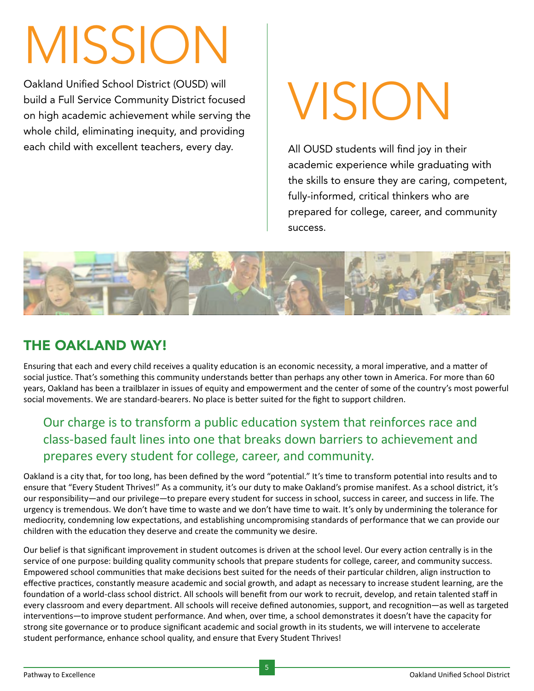# MissioN

Oakland Unified School District (OUSD) will<br>
build a Full Service Community District focused<br>
on high academic achievement while serving the build a Full Service Community District focused on high academic achievement while serving the whole child, eliminating inequity, and providing each child with excellent teachers, every day. All OUSD students will find joy in their

academic experience while graduating with the skills to ensure they are caring, competent, fully-informed, critical thinkers who are prepared for college, career, and community success.



## The Oakland Way!

Ensuring that each and every child receives a quality education is an economic necessity, a moral imperative, and a matter of social justice. That's something this community understands better than perhaps any other town in America. For more than 60 years, Oakland has been a trailblazer in issues of equity and empowerment and the center of some of the country's most powerful social movements. We are standard-bearers. No place is better suited for the fight to support children.

### Our charge is to transform a public education system that reinforces race and class-based fault lines into one that breaks down barriers to achievement and prepares every student for college, career, and community.

Oakland is a city that, for too long, has been defined by the word "potential." It's time to transform potential into results and to ensure that "Every Student Thrives!" As a community, it's our duty to make Oakland's promise manifest. As a school district, it's our responsibility—and our privilege—to prepare every student for success in school, success in career, and success in life. The urgency is tremendous. We don't have time to waste and we don't have time to wait. It's only by undermining the tolerance for mediocrity, condemning low expectations, and establishing uncompromising standards of performance that we can provide our children with the education they deserve and create the community we desire.

Our belief is that significant improvement in student outcomes is driven at the school level. Our every action centrally is in the service of one purpose: building quality community schools that prepare students for college, career, and community success. Empowered school communities that make decisions best suited for the needs of their particular children, align instruction to effective practices, constantly measure academic and social growth, and adapt as necessary to increase student learning, are the foundation of a world-class school district. All schools will benefit from our work to recruit, develop, and retain talented staff in every classroom and every department. All schools will receive defined autonomies, support, and recognition—as well as targeted interventions—to improve student performance. And when, over time, a school demonstrates it doesn't have the capacity for strong site governance or to produce significant academic and social growth in its students, we will intervene to accelerate student performance, enhance school quality, and ensure that Every Student Thrives!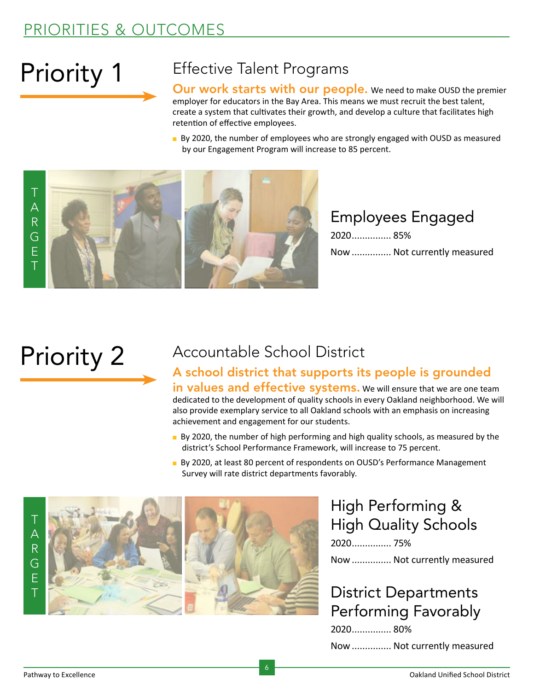## PRIORITIES & OUTCOMES

## Priority 1

## Effective Talent Programs

Our work starts with our people. We need to make OUSD the premier employer for educators in the Bay Area. This means we must recruit the best talent, create a system that cultivates their growth, and develop a culture that facilitates high retention of effective employees.

**By 2020, the number of employees who are strongly engaged with OUSD as measured** by our Engagement Program will increase to 85 percent.



Employees Engaged 2020............... 85%

Now ............... Not currently measured

## Priority 2

## Accountable School District

#### A school district that supports its people is grounded in values and effective systems. We will ensure that we are one team dedicated to the development of quality schools in every Oakland neighborhood. We will also provide exemplary service to all Oakland schools with an emphasis on increasing achievement and engagement for our students.

- **By 2020**, the number of high performing and high quality schools, as measured by the district's School Performance Framework, will increase to 75 percent.
- **By 2020, at least 80 percent of respondents on OUSD's Performance Management** Survey will rate district departments favorably.



### High Performing & High Quality Schools 2020............... 75% Now ............... Not currently measured

## District Departments Performing Favorably

2020............... 80% Now ............... Not currently measured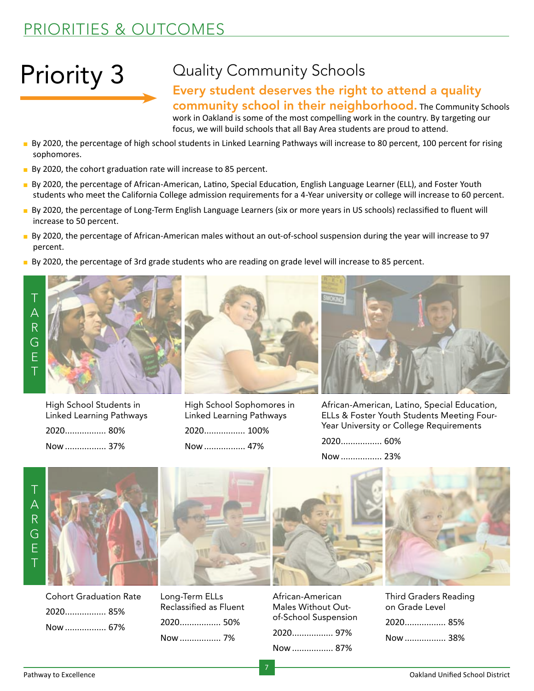## Priority 3

## Quality Community Schools

### Every student deserves the right to attend a quality community school in their neighborhood. The Community Schools

work in Oakland is some of the most compelling work in the country. By targeting our focus, we will build schools that all Bay Area students are proud to attend.

- **By 2020, the percentage of high school students in Linked Learning Pathways will increase to 80 percent, 100 percent for rising** sophomores.
- $\blacksquare$  By 2020, the cohort graduation rate will increase to 85 percent.
- <sup>n</sup> By 2020, the percentage of African-American, Latino, Special Education, English Language Learner (ELL), and Foster Youth students who meet the California College admission requirements for a 4-Year university or college will increase to 60 percent.
- <sup>n</sup> By 2020, the percentage of Long-Term English Language Learners (six or more years in US schools) reclassified to fluent will increase to 50 percent.
- <sup>n</sup> By 2020, the percentage of African-American males without an out-of-school suspension during the year will increase to 97 percent.
- **By 2020**, the percentage of 3rd grade students who are reading on grade level will increase to 85 percent.





High School Students in Linked Learning Pathways 2020................. 80% Now................. 37%



High School Sophomores in Linked Learning Pathways 2020................. 100% Now................. 47%



African-American, Latino, Special Education, ELLs & Foster Youth Students Meeting Four-Year University or College Requirements

2020................. 60%

Now................. 23%



Cohort Graduation Rate 2020................. 85% Now................. 67%



Long-Term ELLs Reclassified as Fluent 2020................. 50% Now................. 7%





7



| <b>Third Graders Reading</b><br>on Grade Level |  |
|------------------------------------------------|--|
|                                                |  |

|  | Now  38% |  |
|--|----------|--|
|--|----------|--|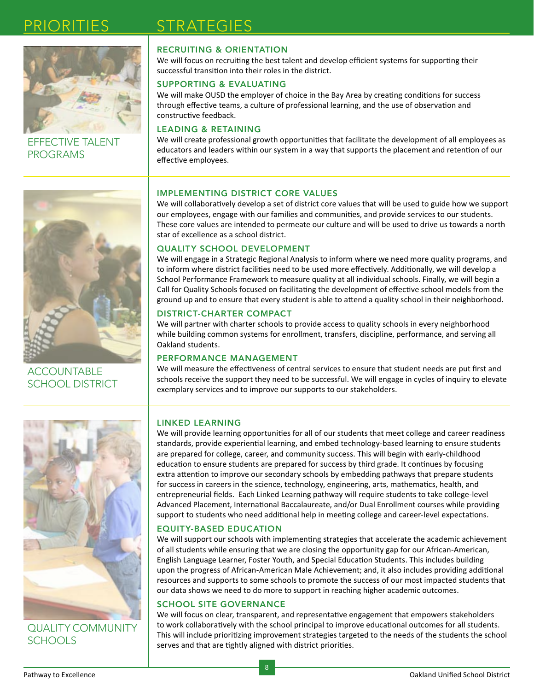

Effective Talent **PROGRAMS** 

## STRATEGIES

#### RECRUITING & ORIENTATION

We will focus on recruiting the best talent and develop efficient systems for supporting their successful transition into their roles in the district.

#### SUPPORTING & EVALUATING

We will make OUSD the employer of choice in the Bay Area by creating conditions for success through effective teams, a culture of professional learning, and the use of observation and constructive feedback.

#### LEADING & RETAINING

We will create professional growth opportunities that facilitate the development of all employees as educators and leaders within our system in a way that supports the placement and retention of our effective employees.



**ACCOUNTABLE** School District

#### IMPLEMENTING DISTRICT CORE VALUES

We will collaboratively develop a set of district core values that will be used to guide how we support our employees, engage with our families and communities, and provide services to our students. These core values are intended to permeate our culture and will be used to drive us towards a north star of excellence as a school district.

#### QUALITY SCHOOL DEVELOPMENT

We will engage in a Strategic Regional Analysis to inform where we need more quality programs, and to inform where district facilities need to be used more effectively. Additionally, we will develop a School Performance Framework to measure quality at all individual schools. Finally, we will begin a Call for Quality Schools focused on facilitating the development of effective school models from the ground up and to ensure that every student is able to attend a quality school in their neighborhood.

#### DISTRICT-CHARTER COMPACT

We will partner with charter schools to provide access to quality schools in every neighborhood while building common systems for enrollment, transfers, discipline, performance, and serving all Oakland students.

#### PERFORMANCE MANAGEMENT

We will measure the effectiveness of central services to ensure that student needs are put first and schools receive the support they need to be successful. We will engage in cycles of inquiry to elevate exemplary services and to improve our supports to our stakeholders.



Quality Community Schools

#### LINKED LEARNING

We will provide learning opportunities for all of our students that meet college and career readiness standards, provide experiential learning, and embed technology-based learning to ensure students are prepared for college, career, and community success. This will begin with early-childhood education to ensure students are prepared for success by third grade. It continues by focusing extra attention to improve our secondary schools by embedding pathways that prepare students for success in careers in the science, technology, engineering, arts, mathematics, health, and entrepreneurial fields. Each Linked Learning pathway will require students to take college-level Advanced Placement, International Baccalaureate, and/or Dual Enrollment courses while providing support to students who need additional help in meeting college and career-level expectations.

#### EQUITY-BASED EDUCATION

We will support our schools with implementing strategies that accelerate the academic achievement of all students while ensuring that we are closing the opportunity gap for our African-American, English Language Learner, Foster Youth, and Special Education Students. This includes building upon the progress of African-American Male Achievement; and, it also includes providing additional resources and supports to some schools to promote the success of our most impacted students that our data shows we need to do more to support in reaching higher academic outcomes.

#### SCHOOL SITE GOVERNANCE

We will focus on clear, transparent, and representative engagement that empowers stakeholders to work collaboratively with the school principal to improve educational outcomes for all students. This will include prioritizing improvement strategies targeted to the needs of the students the school serves and that are tightly aligned with district priorities.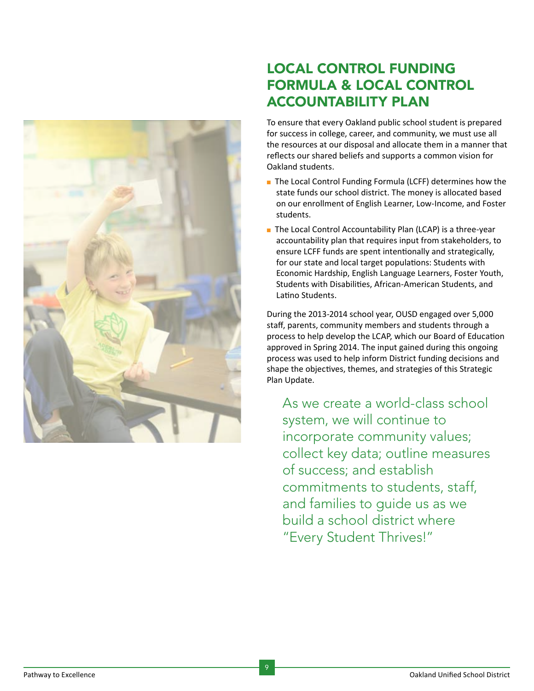

### Local Control Funding Formula & Local Control Accountability Plan

To ensure that every Oakland public school student is prepared for success in college, career, and community, we must use all the resources at our disposal and allocate them in a manner that reflects our shared beliefs and supports a common vision for Oakland students.

- The Local Control Funding Formula (LCFF) determines how the state funds our school district. The money is allocated based on our enrollment of English Learner, Low-Income, and Foster students.
- The Local Control Accountability Plan (LCAP) is a three-year accountability plan that requires input from stakeholders, to ensure LCFF funds are spent intentionally and strategically, for our state and local target populations: Students with Economic Hardship, English Language Learners, Foster Youth, Students with Disabilities, African-American Students, and Latino Students.

During the 2013-2014 school year, OUSD engaged over 5,000 staff, parents, community members and students through a process to help develop the LCAP, which our Board of Education approved in Spring 2014. The input gained during this ongoing process was used to help inform District funding decisions and shape the objectives, themes, and strategies of this Strategic Plan Update.

As we create a world-class school system, we will continue to incorporate community values; collect key data; outline measures of success; and establish commitments to students, staff, and families to guide us as we build a school district where "Every Student Thrives!"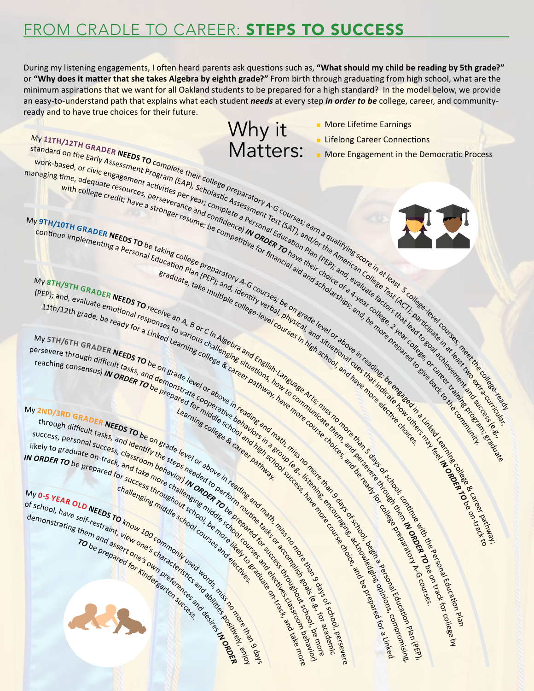## FROM CRADLE TO CAREER: STEPS TO SUCCESS

During my listening engagements, I often heard parents ask questions such as, **"What should my child be reading by 5th grade?"** or **"Why does it matter that she takes Algebra by eighth grade?"** From birth through graduating from high school, what are the minimum aspirations that we want for all Oakland students to be prepared for a high standard? In the model below, we provide an easy-to-understand path that explains what each student *needs* at every step *in order to be* college, career, and communityready and to have true choices for their future.

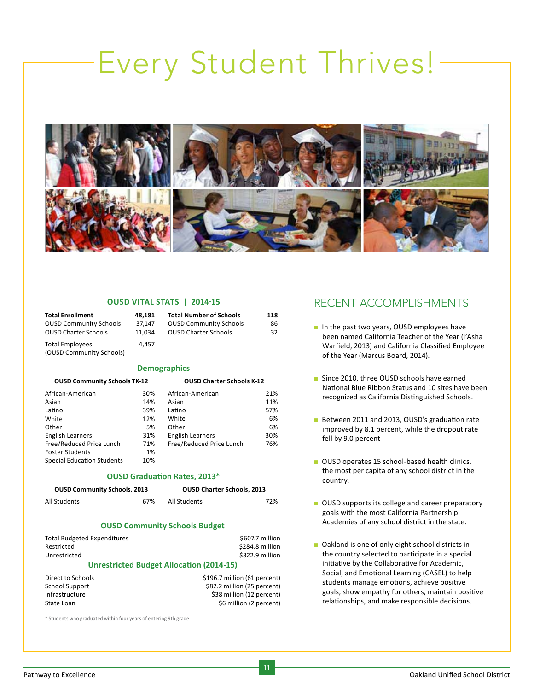## Every Student Thrives!



**118** 

#### **OUSD Vital Stats | 2014-15**

| <b>Total Enrollment</b>  | 48.181 | <b>Total Number of Schools</b> | 118 |
|--------------------------|--------|--------------------------------|-----|
| OUSD Community Schools   | 37.147 | <b>OUSD Community Schools</b>  | 86  |
| OUSD Charter Schools     | 11.034 | <b>OUSD Charter Schools</b>    | 32  |
| Total Employees          | 4.457  |                                |     |
| (OUSD Community Schools) |        |                                |     |

#### **Demographics**

| <b>OUSD Community Schools TK-12</b> |     | <b>OUSD Charter Schools K-12</b> |     |
|-------------------------------------|-----|----------------------------------|-----|
| African-American                    | 30% | African-American                 | 21% |
| Asian                               | 14% | Asian                            | 11% |
| Latino                              | 39% | Latino                           | 57% |
| White                               | 12% | White                            | 6%  |
| Other                               | 5%  | Other                            | 6%  |
| <b>English Learners</b>             | 31% | <b>English Learners</b>          | 30% |
| Free/Reduced Price Lunch            | 71% | Free/Reduced Price Lunch         | 76% |
| Foster Students                     | 1%  |                                  |     |
| Special Education Students          | 10% |                                  |     |
|                                     |     |                                  |     |

#### **OUSD Graduation Rates, 2013\***

| <b>OUSD Community Schools, 2013</b> | <b>OUSD Charter Schools, 2013</b> |
|-------------------------------------|-----------------------------------|
|                                     |                                   |

All Students 67%

### All Students 72%

#### **OUSD Community Schools Budget**

| Total Budgeted Expenditures                      | \$607.7 million |
|--------------------------------------------------|-----------------|
| Restricted                                       | \$284.8 million |
| Unrestricted                                     | \$322.9 million |
| <b>Llarestricted Budget Allecation (2014-15)</b> |                 |

#### **Unrestricted Budget Allocation (2014-15)**

| Direct to Schools | \$196.7 million (61 percent) |
|-------------------|------------------------------|
| School Support    | \$82.2 million (25 percent)  |
| Infrastructure    | \$38 million (12 percent)    |
| State Loan        | \$6 million (2 percent)      |

\* Students who graduated within four years of entering 9th grade

### Recent Accomplishments

- n In the past two years, OUSD employees have been named California Teacher of the Year (I'Asha Warfield, 2013) and California Classified Employee of the Year (Marcus Board, 2014).
- Since 2010, three OUSD schools have earned National Blue Ribbon Status and 10 sites have been recognized as California Distinguished Schools.
- Between 2011 and 2013, OUSD's graduation rate improved by 8.1 percent, while the dropout rate fell by 9.0 percent
- **n** OUSD operates 15 school-based health clinics, the most per capita of any school district in the country.
- **n** OUSD supports its college and career preparatory goals with the most California Partnership Academies of any school district in the state.
- Oakland is one of only eight school districts in the country selected to participate in a special initiative by the Collaborative for Academic, Social, and Emotional Learning (CASEL) to help students manage emotions, achieve positive goals, show empathy for others, maintain positive relationships, and make responsible decisions.